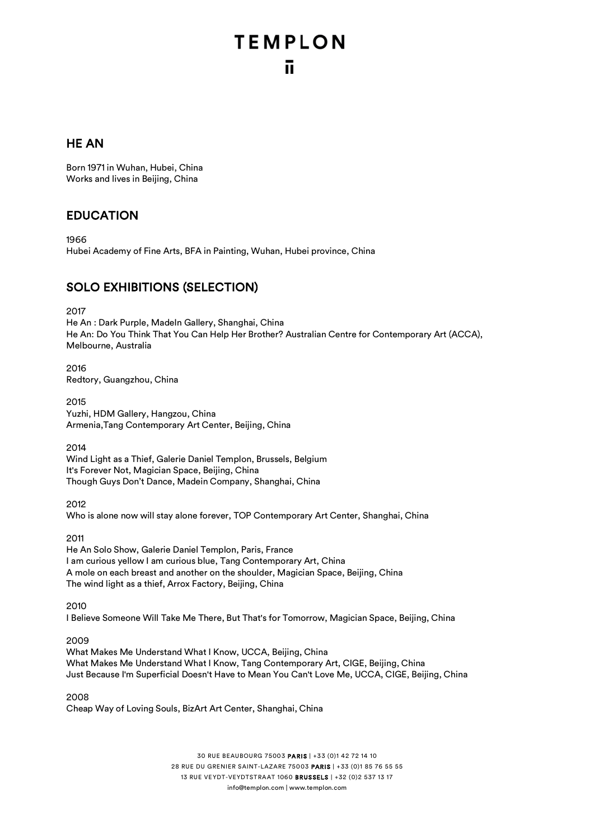### HE AN

Born 1971 in Wuhan, Hubei, China Works and lives in Beijing, China

### EDUCATION

1966 Hubei Academy of Fine Arts, BFA in Painting, Wuhan, Hubei province, China

### SOLO EXHIBITIONS (SELECTION)

2017

He An : Dark Purple, MadeIn Gallery, Shanghai, China He An: Do You Think That You Can Help Her Brother? Australian Centre for Contemporary Art (ACCA), Melbourne, Australia

2016 Redtory, Guangzhou, China

2015 Yuzhi, HDM Gallery, Hangzou, China Armenia,Tang Contemporary Art Center, Beijing, China

2014

Wind Light as a Thief, Galerie Daniel Templon, Brussels, Belgium It's Forever Not, Magician Space, Beijing, China Though Guys Don't Dance, Madein Company, Shanghai, China

2012 Who is alone now will stay alone forever, TOP Contemporary Art Center, Shanghai, China

2011

He An Solo Show, Galerie Daniel Templon, Paris, France I am curious yellow I am curious blue, Tang Contemporary Art, China A mole on each breast and another on the shoulder, Magician Space, Beijing, China The wind light as a thief, Arrox Factory, Beijing, China

2010

I Believe Someone Will Take Me There, But That's for Tomorrow, Magician Space, Beijing, China

2009

What Makes Me Understand What I Know, UCCA, Beijing, China What Makes Me Understand What I Know, Tang Contemporary Art, CIGE, Beijing, China Just Because I'm Superficial Doesn't Have to Mean You Can't Love Me, UCCA, CIGE, Beijing, China

2008 Cheap Way of Loving Souls, BizArt Art Center, Shanghai, China

> 30 RUE BEAUBOURG 75003 PARIS | +33 (0)1 42 72 14 10 28 RUE DU GRENIER SAINT-LAZARE 75003 PARIS | +33 (0)1 85 76 55 55 13 RUE VEYDT-VEYDTSTRAAT 1060 BRUSSELS | +32 (0)2 537 13 17 info@templon.com | www.templon.com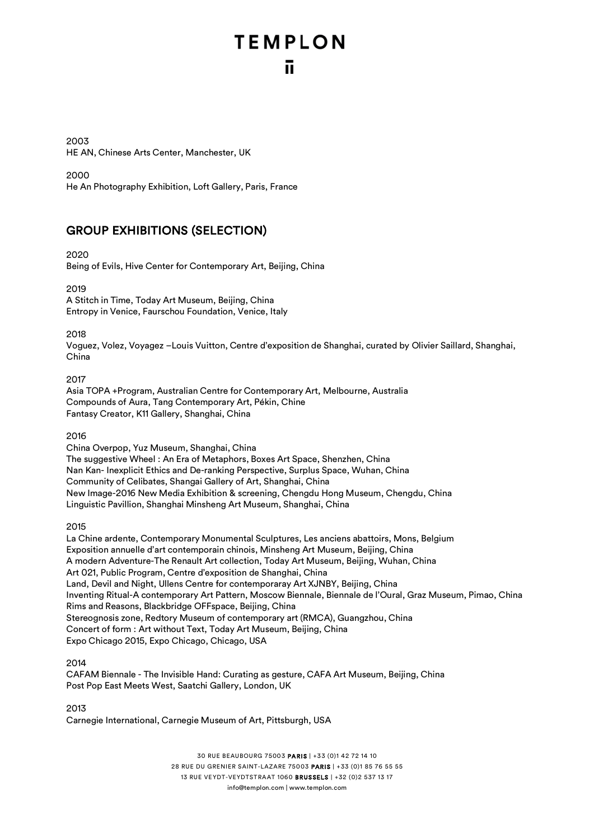2003 HE AN, Chinese Arts Center, Manchester, UK

2000

He An Photography Exhibition, Loft Gallery, Paris, France

### GROUP EXHIBITIONS (SELECTION)

2020

Being of Evils, Hive Center for Contemporary Art, Beijing, China

2019 A Stitch in Time, Today Art Museum, Beijing, China Entropy in Venice, Faurschou Foundation, Venice, Italy

2018

Voguez, Volez, Voyagez –Louis Vuitton, Centre d'exposition de Shanghai, curated by Olivier Saillard, Shanghai, China

2017

Asia TOPA +Program, Australian Centre for Contemporary Art, Melbourne, Australia Compounds of Aura, Tang Contemporary Art, Pékin, Chine Fantasy Creator, K11 Gallery, Shanghai, China

2016

China Overpop, Yuz Museum, Shanghai, China The suggestive Wheel : An Era of Metaphors, Boxes Art Space, Shenzhen, China Nan Kan- Inexplicit Ethics and De-ranking Perspective, Surplus Space, Wuhan, China Community of Celibates, Shangai Gallery of Art, Shanghai, China New Image-2016 New Media Exhibition & screening, Chengdu Hong Museum, Chengdu, China

Linguistic Pavillion, Shanghai Minsheng Art Museum, Shanghai, China

2015

La Chine ardente, Contemporary Monumental Sculptures, Les anciens abattoirs, Mons, Belgium Exposition annuelle d'art contemporain chinois, Minsheng Art Museum, Beijing, China A modern Adventure-The Renault Art collection, Today Art Museum, Beijing, Wuhan, China Art 021, Public Program, Centre d'exposition de Shanghai, China Land, Devil and Night, Ullens Centre for contemporaray Art XJNBY, Beijing, China Inventing Ritual-A contemporary Art Pattern, Moscow Biennale, Biennale de l'Oural, Graz Museum, Pimao, China Rims and Reasons, Blackbridge OFFspace, Beijing, China Stereognosis zone, Redtory Museum of contemporary art (RMCA), Guangzhou, China Concert of form : Art without Text, Today Art Museum, Beijing, China Expo Chicago 2015, Expo Chicago, Chicago, USA

2014

CAFAM Biennale - The Invisible Hand: Curating as gesture, CAFA Art Museum, Beijing, China Post Pop East Meets West, Saatchi Gallery, London, UK

2013 Carnegie International, Carnegie Museum of Art, Pittsburgh, USA

> 30 RUE BEAUBOURG 75003 PARIS | +33 (0)1 42 72 14 10 28 RUE DU GRENIER SAINT-LAZARE 75003 PARIS | +33 (0)1 85 76 55 55 13 RUE VEYDT-VEYDTSTRAAT 1060 BRUSSELS | +32 (0)2 537 13 17 info@templon.com | www.templon.com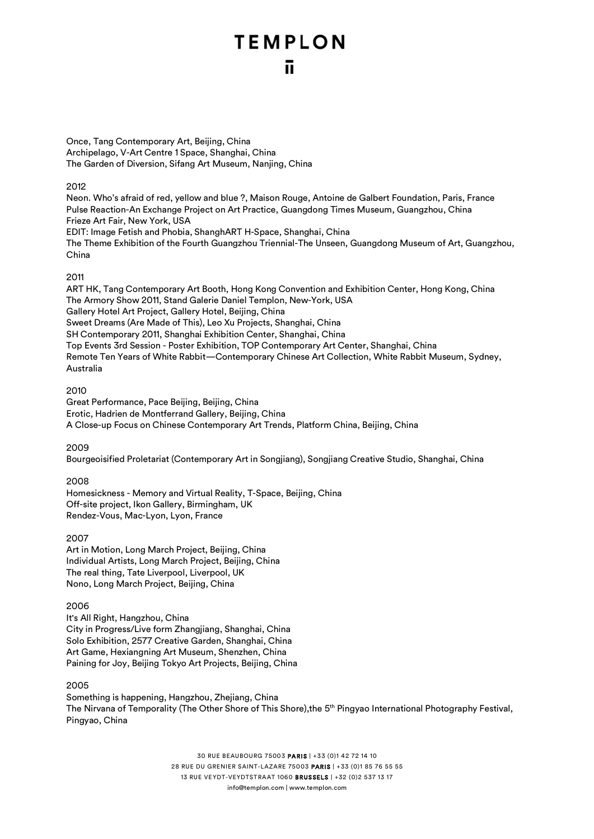Once, Tang Contemporary Art, Beijing, China Archipelago, V-Art Centre 1 Space, Shanghai, China The Garden of Diversion, Sifang Art Museum, Nanjing, China

#### 2012

Neon. Who's afraid of red, yellow and blue ?, Maison Rouge, Antoine de Galbert Foundation, Paris, France Pulse Reaction-An Exchange Project on Art Practice, Guangdong Times Museum, Guangzhou, China Frieze Art Fair, New York, USA EDIT: Image Fetish and Phobia, ShanghART H-Space, Shanghai, China

The Theme Exhibition of the Fourth Guangzhou Triennial-The Unseen, Guangdong Museum of Art, Guangzhou, China

#### 2011

ART HK, Tang Contemporary Art Booth, Hong Kong Convention and Exhibition Center, Hong Kong, China The Armory Show 2011, Stand Galerie Daniel Templon, New-York, USA Gallery Hotel Art Project, Gallery Hotel, Beijing, China Sweet Dreams (Are Made of This), Leo Xu Projects, Shanghai, China SH Contemporary 2011, Shanghai Exhibition Center, Shanghai, China Top Events 3rd Session - Poster Exhibition, TOP Contemporary Art Center, Shanghai, China Remote Ten Years of White Rabbit—Contemporary Chinese Art Collection, White Rabbit Museum, Sydney, Australia

#### 2010

Great Performance, Pace Beijing, Beijing, China Erotic, Hadrien de Montferrand Gallery, Beijing, China A Close-up Focus on Chinese Contemporary Art Trends, Platform China, Beijing, China

2009

Bourgeoisified Proletariat (Contemporary Art in Songjiang), Songjiang Creative Studio, Shanghai, China

#### 2008

Homesickness - Memory and Virtual Reality, T-Space, Beijing, China Off-site project, Ikon Gallery, Birmingham, UK Rendez-Vous, Mac-Lyon, Lyon, France

#### 2007

Art in Motion, Long March Project, Beijing, China Individual Artists, Long March Project, Beijing, China The real thing, Tate Liverpool, Liverpool, UK Nono, Long March Project, Beijing, China

#### 2006

It's All Right, Hangzhou, China City in Progress/Live form Zhangjiang, Shanghai, China Solo Exhibition, 2577 Creative Garden, Shanghai, China Art Game, Hexiangning Art Museum, Shenzhen, China Paining for Joy, Beijing Tokyo Art Projects, Beijing, China

#### 2005

Something is happening, Hangzhou, Zhejiang, China The Nirvana of Temporality (The Other Shore of This Shore),the 5th Pingyao International Photography Festival, Pingyao, China

> 30 RUE BEAUBOURG 75003 PARIS | +33 (0)1 42 72 14 10 28 RUE DU GRENIER SAINT-LAZARE 75003 PARIS | +33 (0)1 85 76 55 55 13 RUE VEYDT-VEYDTSTRAAT 1060 BRUSSELS | +32 (0)2 537 13 17 info@templon.com | www.templon.com